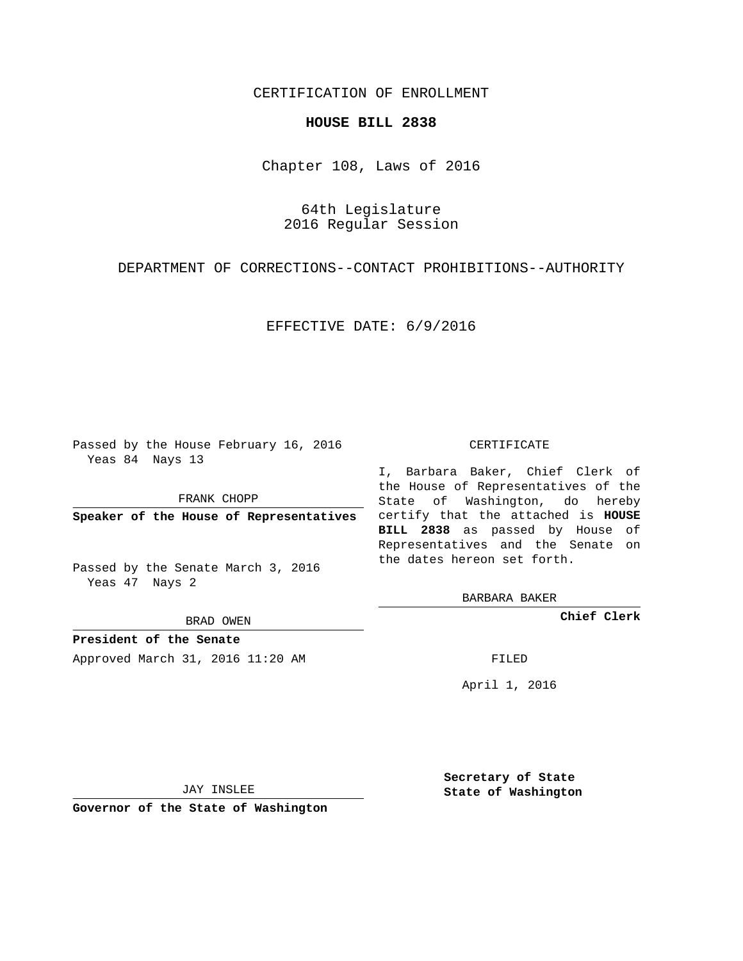# CERTIFICATION OF ENROLLMENT

## **HOUSE BILL 2838**

Chapter 108, Laws of 2016

64th Legislature 2016 Regular Session

DEPARTMENT OF CORRECTIONS--CONTACT PROHIBITIONS--AUTHORITY

### EFFECTIVE DATE: 6/9/2016

Passed by the House February 16, 2016 Yeas 84 Nays 13

FRANK CHOPP

Passed by the Senate March 3, 2016 Yeas 47 Nays 2

BRAD OWEN

**President of the Senate**

Approved March 31, 2016 11:20 AM FILED

#### CERTIFICATE

**Speaker of the House of Representatives** certify that the attached is **HOUSE** I, Barbara Baker, Chief Clerk of the House of Representatives of the State of Washington, do hereby **BILL 2838** as passed by House of Representatives and the Senate on the dates hereon set forth.

BARBARA BAKER

**Chief Clerk**

April 1, 2016

JAY INSLEE

**Governor of the State of Washington**

**Secretary of State State of Washington**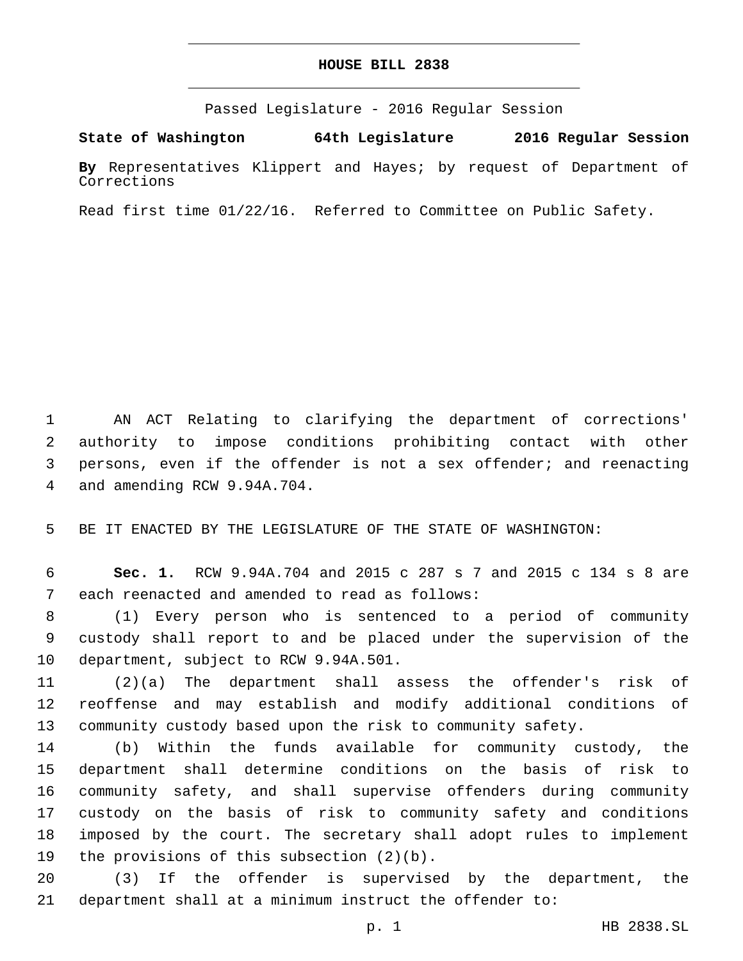# **HOUSE BILL 2838**

Passed Legislature - 2016 Regular Session

**State of Washington 64th Legislature 2016 Regular Session**

**By** Representatives Klippert and Hayes; by request of Department of Corrections

Read first time 01/22/16. Referred to Committee on Public Safety.

 AN ACT Relating to clarifying the department of corrections' authority to impose conditions prohibiting contact with other persons, even if the offender is not a sex offender; and reenacting 4 and amending RCW 9.94A.704.

BE IT ENACTED BY THE LEGISLATURE OF THE STATE OF WASHINGTON:

 **Sec. 1.** RCW 9.94A.704 and 2015 c 287 s 7 and 2015 c 134 s 8 are 7 each reenacted and amended to read as follows:

 (1) Every person who is sentenced to a period of community custody shall report to and be placed under the supervision of the 10 department, subject to RCW 9.94A.501.

 (2)(a) The department shall assess the offender's risk of reoffense and may establish and modify additional conditions of community custody based upon the risk to community safety.

 (b) Within the funds available for community custody, the department shall determine conditions on the basis of risk to community safety, and shall supervise offenders during community custody on the basis of risk to community safety and conditions imposed by the court. The secretary shall adopt rules to implement 19 the provisions of this subsection  $(2)(b)$ .

 (3) If the offender is supervised by the department, the department shall at a minimum instruct the offender to: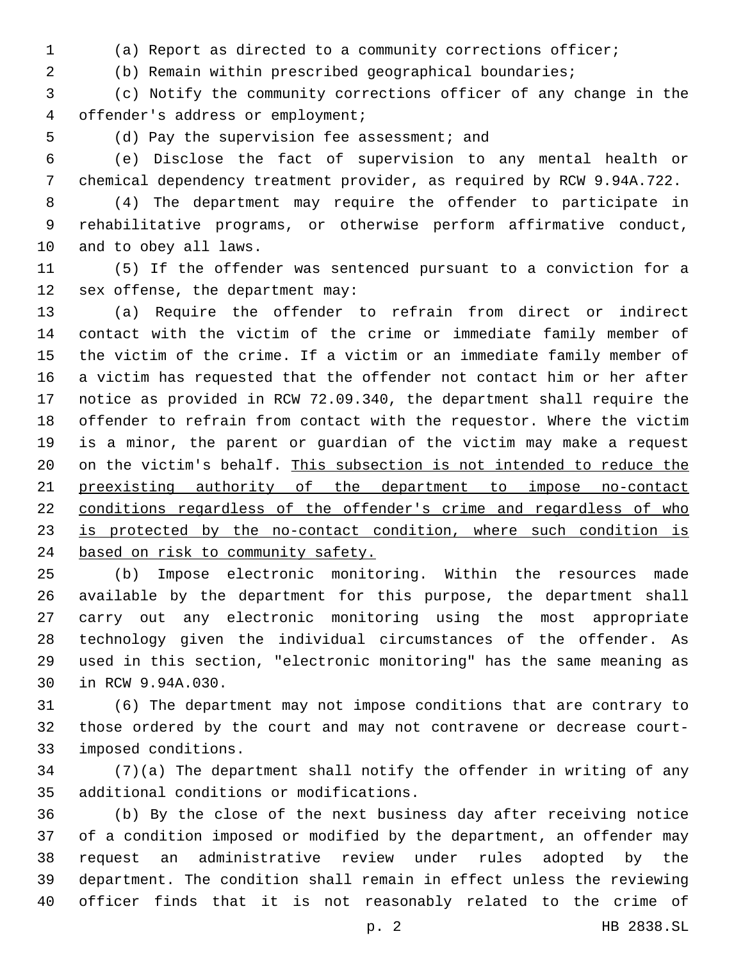(a) Report as directed to a community corrections officer;

(b) Remain within prescribed geographical boundaries;

 (c) Notify the community corrections officer of any change in the offender's address or employment;4

5 (d) Pay the supervision fee assessment; and

 (e) Disclose the fact of supervision to any mental health or chemical dependency treatment provider, as required by RCW 9.94A.722.

 (4) The department may require the offender to participate in rehabilitative programs, or otherwise perform affirmative conduct, 10 and to obey all laws.

 (5) If the offender was sentenced pursuant to a conviction for a 12 sex offense, the department may:

 (a) Require the offender to refrain from direct or indirect contact with the victim of the crime or immediate family member of the victim of the crime. If a victim or an immediate family member of a victim has requested that the offender not contact him or her after notice as provided in RCW 72.09.340, the department shall require the offender to refrain from contact with the requestor. Where the victim is a minor, the parent or guardian of the victim may make a request on the victim's behalf. This subsection is not intended to reduce the preexisting authority of the department to impose no-contact 22 conditions regardless of the offender's crime and regardless of who 23 is protected by the no-contact condition, where such condition is 24 based on risk to community safety.

 (b) Impose electronic monitoring. Within the resources made available by the department for this purpose, the department shall carry out any electronic monitoring using the most appropriate technology given the individual circumstances of the offender. As used in this section, "electronic monitoring" has the same meaning as 30 in RCW 9.94A.030.

 (6) The department may not impose conditions that are contrary to those ordered by the court and may not contravene or decrease court-33 imposed conditions.

 (7)(a) The department shall notify the offender in writing of any 35 additional conditions or modifications.

 (b) By the close of the next business day after receiving notice of a condition imposed or modified by the department, an offender may request an administrative review under rules adopted by the department. The condition shall remain in effect unless the reviewing officer finds that it is not reasonably related to the crime of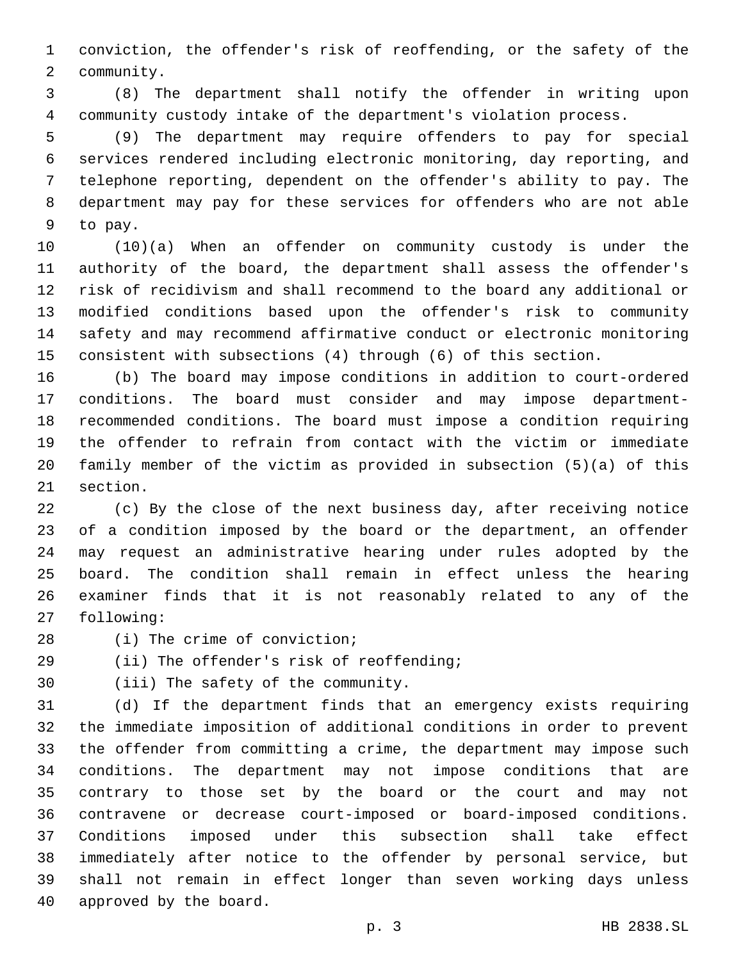conviction, the offender's risk of reoffending, or the safety of the 2 community.

 (8) The department shall notify the offender in writing upon community custody intake of the department's violation process.

 (9) The department may require offenders to pay for special services rendered including electronic monitoring, day reporting, and telephone reporting, dependent on the offender's ability to pay. The department may pay for these services for offenders who are not able 9 to pay.

 (10)(a) When an offender on community custody is under the authority of the board, the department shall assess the offender's risk of recidivism and shall recommend to the board any additional or modified conditions based upon the offender's risk to community safety and may recommend affirmative conduct or electronic monitoring consistent with subsections (4) through (6) of this section.

 (b) The board may impose conditions in addition to court-ordered conditions. The board must consider and may impose department- recommended conditions. The board must impose a condition requiring the offender to refrain from contact with the victim or immediate family member of the victim as provided in subsection (5)(a) of this 21 section.

 (c) By the close of the next business day, after receiving notice of a condition imposed by the board or the department, an offender may request an administrative hearing under rules adopted by the board. The condition shall remain in effect unless the hearing examiner finds that it is not reasonably related to any of the 27 following:

- 
- 

28 (i) The crime of conviction;

29 (ii) The offender's risk of reoffending;

30 (iii) The safety of the community.

 (d) If the department finds that an emergency exists requiring the immediate imposition of additional conditions in order to prevent the offender from committing a crime, the department may impose such conditions. The department may not impose conditions that are contrary to those set by the board or the court and may not contravene or decrease court-imposed or board-imposed conditions. Conditions imposed under this subsection shall take effect immediately after notice to the offender by personal service, but shall not remain in effect longer than seven working days unless 40 approved by the board.